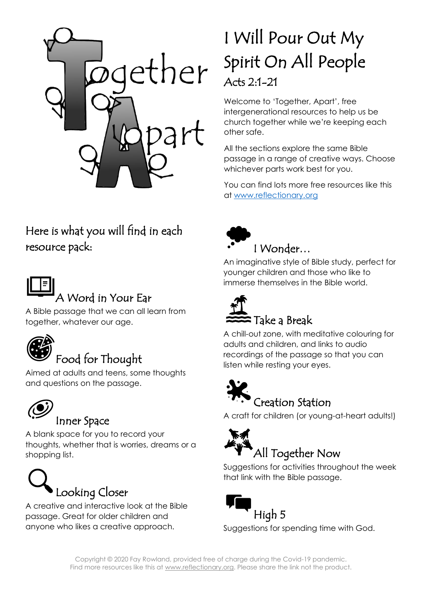

# I Will Pour Out My Spirit On All People Acts 2:1-21

Welcome to 'Together, Apart', free intergenerational resources to help us be church together while we're keeping each other safe.

All the sections explore the same Bible passage in a range of creative ways. Choose whichever parts work best for you.

You can find lots more free resources like this at [www.reflectionary.org](http://www.reflectionary.org/)

# Here is what you will find in each resource pack:



# A Word in Your Ear

A Bible passage that we can all learn from together, whatever our age.



Aimed at adults and teens, some thoughts and questions on the passage.



## Inner Space

A blank space for you to record your thoughts, whether that is worries, dreams or a shopping list.



A creative and interactive look at the Bible passage. Great for older children and anyone who likes a creative approach.



## I Wonder…

An imaginative style of Bible study, perfect for younger children and those who like to immerse themselves in the Bible world.



A chill-out zone, with meditative colouring for adults and children, and links to audio recordings of the passage so that you can listen while resting your eyes.



A craft for children (or young-at-heart adults!)



Suggestions for activities throughout the week that link with the Bible passage.



Suggestions for spending time with God.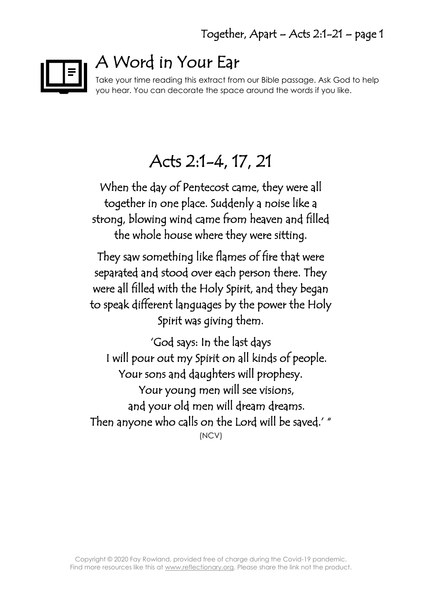

# A Word in Your Ear

Take your time reading this extract from our Bible passage. Ask God to help you hear. You can decorate the space around the words if you like.

# Acts 2:1-4, 17, 21

When the day of Pentecost came, they were all together in one place. Suddenly a noise like a strong, blowing wind came from heaven and filled the whole house where they were sitting.

They saw something like flames of fire that were separated and stood over each person there. They were all filled with the Holy Spirit, and they began to speak different languages by the power the Holy Spirit was giving them.

'God says: In the last days I will pour out my Spirit on all kinds of people. Your sons and daughters will prophesy. Your young men will see visions, and your old men will dream dreams. Then anyone who calls on the Lord will be saved.' " (NCV)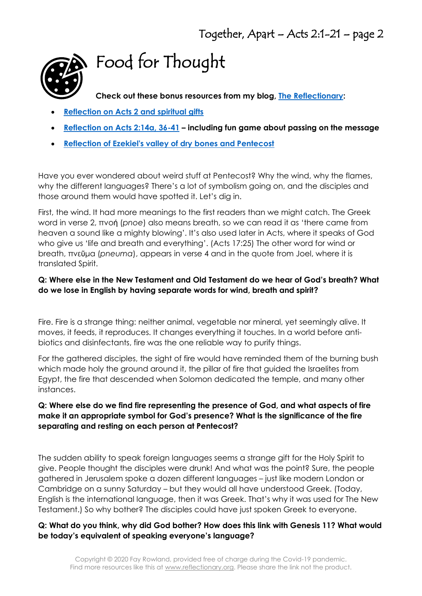

# Food for Thought

**Check out these bonus resources from my blog, [The Reflectionary:](https://reflectionary.org/2017/05/08/john-1415-21/)**

- **[Reflection on Acts 2 and spiritual gifts](https://reflectionary.org/2017/05/22/acts-21-21-1-corinthians-123b-13/)**
- **[Reflection on Acts 2:14a, 36-41](https://reflectionary.org/2017/04/17/acts-214a-36-41/) – including fun game about passing on the message**
- **[Reflection of Ezekiel's valley of dry bones and Pentecost](https://reflectionary.org/2018/05/14/ezekiel-371-14-bones-and-breath/)**

Have you ever wondered about weird stuff at Pentecost? Why the wind, why the flames, why the different languages? There's a lot of symbolism going on, and the disciples and those around them would have spotted it. Let's dig in.

First, the wind. It had more meanings to the first readers than we might catch. The Greek word in verse 2, πνοή (*pnoe*) also means breath, so we can read it as 'there came from heaven a sound like a mighty blowing'. It's also used later in Acts, where it speaks of God who give us 'life and breath and everything'. (Acts 17:25) The other word for wind or breath, πνεῦμα (*pneuma*), appears in verse 4 and in the quote from Joel, where it is translated Spirit.

#### **Q: Where else in the New Testament and Old Testament do we hear of God's breath? What do we lose in English by having separate words for wind, breath and spirit?**

Fire. Fire is a strange thing: neither animal, vegetable nor mineral, yet seemingly alive. It moves, it feeds, it reproduces. It changes everything it touches. In a world before antibiotics and disinfectants, fire was the one reliable way to purify things.

For the gathered disciples, the sight of fire would have reminded them of the burning bush which made holy the ground around it, the pillar of fire that guided the Israelites from Egypt, the fire that descended when Solomon dedicated the temple, and many other instances.

#### **Q: Where else do we find fire representing the presence of God, and what aspects of fire make it an appropriate symbol for God's presence? What is the significance of the fire separating and resting on each person at Pentecost?**

The sudden ability to speak foreign languages seems a strange gift for the Holy Spirit to give. People thought the disciples were drunk! And what was the point? Sure, the people gathered in Jerusalem spoke a dozen different languages – just like modern London or Cambridge on a sunny Saturday – but they would all have understood Greek. (Today, English is the international language, then it was Greek. That's why it was used for The New Testament.) So why bother? The disciples could have just spoken Greek to everyone.

#### **Q: What do you think, why did God bother? How does this link with Genesis 11? What would be today's equivalent of speaking everyone's language?**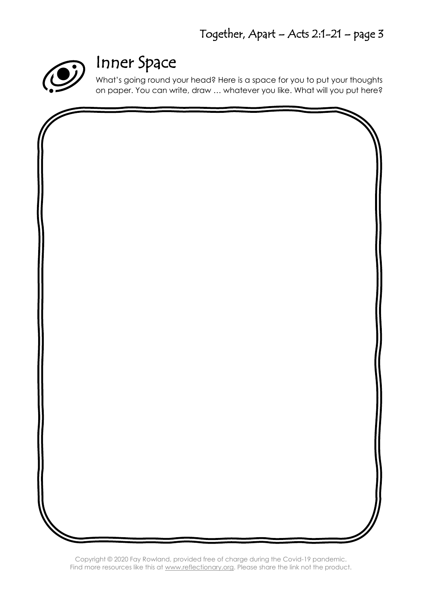

# Inner Space

What's going round your head? Here is a space for you to put your thoughts on paper. You can write, draw … whatever you like. What will you put here?

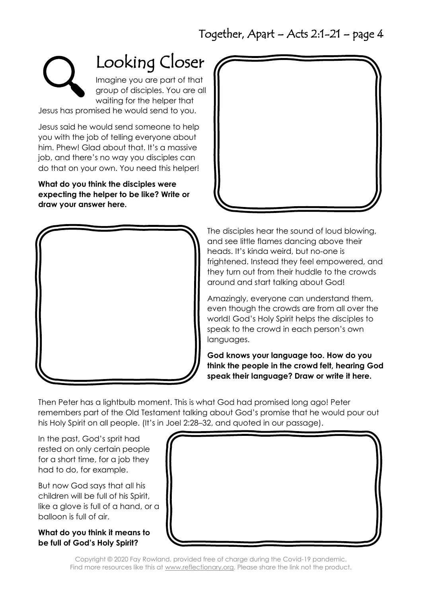

Looking Closer

Imagine you are part of that group of disciples. You are all waiting for the helper that

Jesus has promised he would send to you.

Jesus said he would send someone to help you with the job of telling everyone about him. Phew! Glad about that. It's a massive job, and there's no way you disciples can do that on your own. You need this helper!

**What do you think the disciples were expecting the helper to be like? Write or draw your answer here.**





The disciples hear the sound of loud blowing, and see little flames dancing above their heads. It's kinda weird, but no-one is frightened. Instead they feel empowered, and they turn out from their huddle to the crowds around and start talking about God!

Amazingly, everyone can understand them, even though the crowds are from all over the world! God's Holy Spirit helps the disciples to speak to the crowd in each person's own languages.

**God knows your language too. How do you think the people in the crowd felt, hearing God speak their language? Draw or write it here.**

Then Peter has a lightbulb moment. This is what God had promised long ago! Peter remembers part of the Old Testament talking about God's promise that he would pour out his Holy Spirit on all people. (It's in Joel 2:28–32, and quoted in our passage).

In the past, God's sprit had rested on only certain people for a short time, for a job they had to do, for example.

But now God says that all his children will be full of his Spirit, like a glove is full of a hand, or a balloon is full of air.

#### **What do you think it means to be full of God's Holy Spirit?**

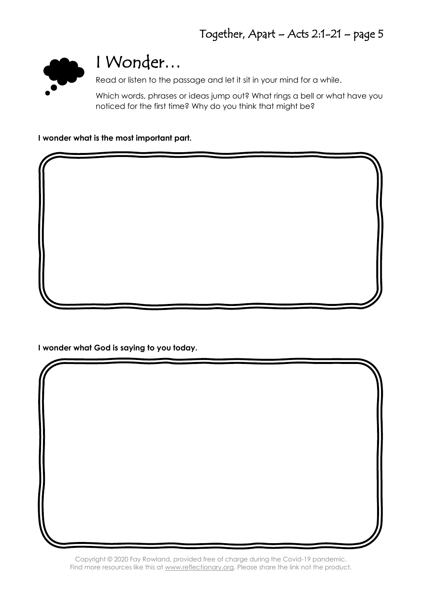

# I Wonder…

Read or listen to the passage and let it sit in your mind for a while.

Which words, phrases or ideas jump out? What rings a bell or what have you noticed for the first time? Why do you think that might be?

**I wonder what is the most important part.**

**I wonder what God is saying to you today.**

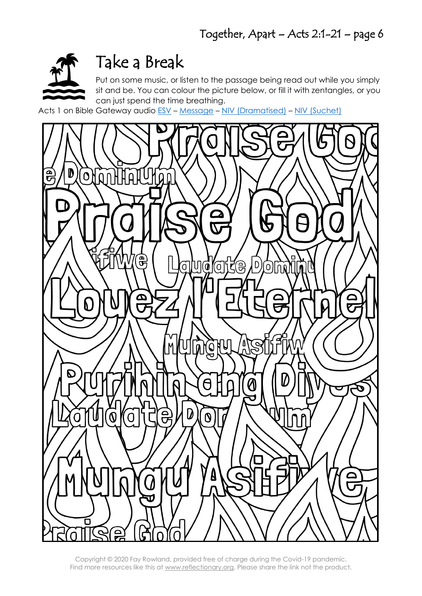

# Take a Break

Put on some music, or listen to the passage being read out while you simply sit and be. You can colour the picture below, or fill it with zentangles, or you can just spend the time breathing.

Acts 1 on Bible Gateway audio [ESV](https://www.biblegateway.com/audio/mclean/esv/Acts.1) – [Message](https://www.biblegateway.com/audio/dolan/msg/Acts.1) – [NIV \(Dramatised\)](https://www.biblegateway.com/audio/dramatized/niv/Acts.1) – NIV [\(Suchet\)](https://www.biblegateway.com/audio/suchet/nivuk/Acts.1)

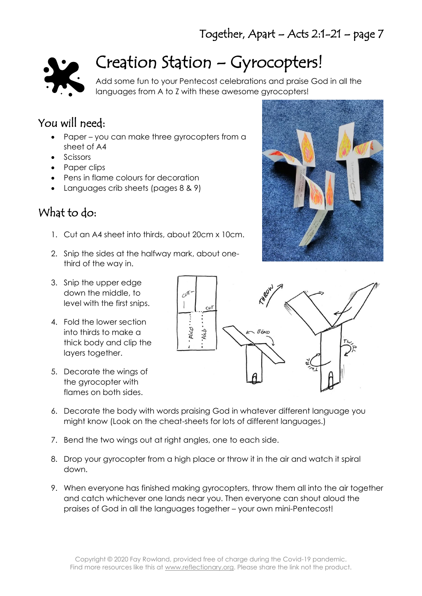

# Creation Station – Gyrocopters!

Add some fun to your Pentecost celebrations and praise God in all the languages from A to Z with these awesome gyrocopters!

## You will need:

- Paper you can make three gyrocopters from a sheet of A4
- Scissors
- Paper clips
- Pens in flame colours for decoration
- Languages crib sheets (pages 8 & 9)

## What to do:

- 1. Cut an A4 sheet into thirds, about 20cm x 10cm.
- 2. Snip the sides at the halfway mark, about onethird of the way in.
- 3. Snip the upper edge down the middle, to level with the first snips.
- 4. Fold the lower section into thirds to make a thick body and clip the layers together.
- 5. Decorate the wings of the gyrocopter with flames on both sides.



- 6. Decorate the body with words praising God in whatever different language you might know (Look on the cheat-sheets for lots of different languages.)
- 7. Bend the two wings out at right angles, one to each side.
- 8. Drop your gyrocopter from a high place or throw it in the air and watch it spiral down.
- 9. When everyone has finished making gyrocopters, throw them all into the air together and catch whichever one lands near you. Then everyone can shout aloud the praises of God in all the languages together – your own mini-Pentecost!

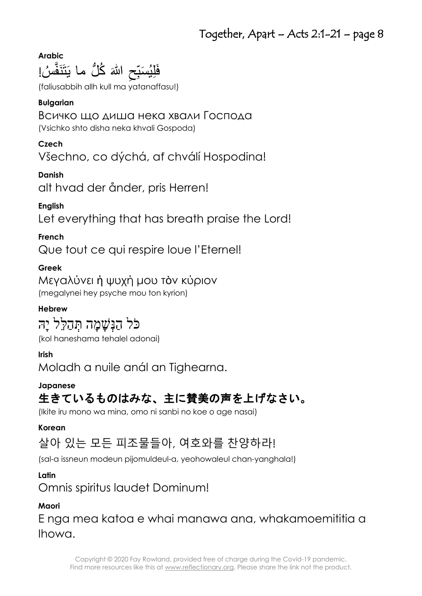**Arabic** فَلِيُسَبِّحِ اللّٰہَ كُلُّ ما يَتَنَفَّسُ!<br>مَسْتَسَبِّدَتِ  $\overline{\phantom{a}}$ ِنَّہُ مُ ر<br>پا

(faliusabbih allh kull ma yatanaffasu!)

### **Bulgarian**

## Всичко що диша нека хвали Господа

(Vsichko shto disha neka khvali Gospoda)

### **Czech**

Všechno, co dýchá, ať chválí Hospodina!

### **Danish**

alt hvad der ånder, pris Herren!

## **English**

Let everything that has breath praise the Lord!

## **French**

Que tout ce qui respire loue l'Eternel!

## **Greek**

Μεγαλύνει ἡ ψυχή μου τὸν κύριον (megalynei hey psyche mou ton kyrion)

## **Hebrew**

## כֹּל הַנִּשָׁמָה תְּהַלֵּל יָה

(kol haneshama tehalel adonai)

## **Irish**

Moladh a nuile anál an Tighearna.

### **Japanese**

## 生きているものはみな、主に賛美の声を上げなさい。

(Ikite iru mono wa mina, omo ni sanbi no koe o age nasai)

### **Korean**

## 살아 있는 모든 피조물들아, 여호와를 찬양하라!

(sal-a issneun modeun pijomuldeul-a, yeohowaleul chan-yanghala!)

### **Latin**

Omnis spiritus laudet Dominum!

### **Maori**

E nga mea katoa e whai manawa ana, whakamoemititia a Ihowa.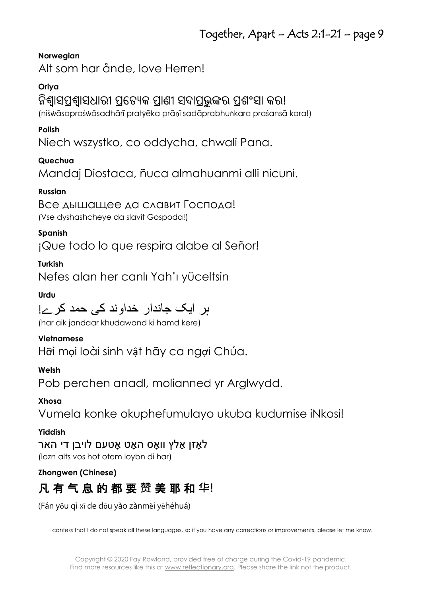#### **Norwegian**

Alt som har ånde, love Herren!

#### **Oriya**

### ନିଶ୍ୱାସପଶ୍ୱାସଧାରୀ ପ୍ରତ୍ୟେକ ପାଣୀ ସଦାପଭୁଙ୍କର ପଶଂସା କର!

(niśẇāsapraśẇāsadhārī pratẏēka prāṇī sadāprabhuṅkara praśansā kara!)

#### **Polish**

Niech wszystko, co oddycha, chwali Pana.

#### **Quechua**

Mandaj Diostaca, ñuca almahuanmi alli nicuni.

#### **Russian**

Все дышащее да славит Господа! (Vse dyshashcheye da slavit Gospoda!)

#### **Spanish**

¡Que todo lo que respira alabe al Señor!

#### **Turkish**

Nefes alan her canlı Yah'ı yüceltsin

#### **Urdu**

# ہر ايک جاندار خداوند کی حمد کرےُ!

(har aik jandaar khudawand ki hamd kere)

#### **Vietnamese**

Hỡi mọi loài sinh vật hãy ca ngợi Chúa.

#### **Welsh**

Pob perchen anadl, molianned yr Arglwydd.

#### **Xhosa**

Vumela konke okuphefumulayo ukuba kudumise iNkosi!

#### **Yiddish**

לאַזו אַלץ וואָס האָט אַטעם לויבו די האָר (lozn alts vos hot otem loybn di har)

#### **Zhongwen (Chinese)**

## 凡 有 气 息 的 都 要 **赞** 美 耶 和 **华!**

(Fán yǒu qì xī de dōu yào zànměi yēhéhuá)

I confess that I do not speak all these languages, so if you have any corrections or improvements, please let me know.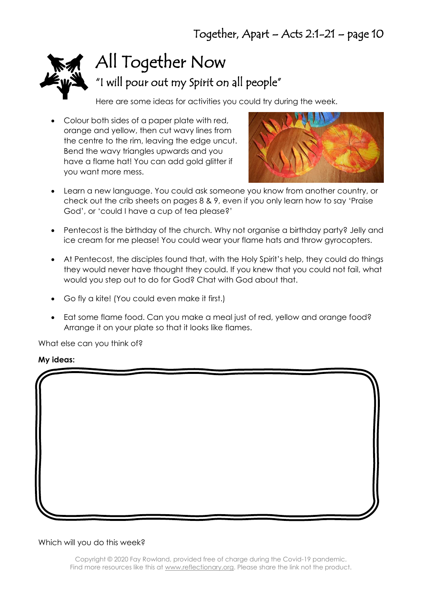

# All Together Now

"I will pour out my Spirit on all people"

Here are some ideas for activities you could try during the week.

• Colour both sides of a paper plate with red, orange and yellow, then cut wavy lines from the centre to the rim, leaving the edge uncut. Bend the wavy triangles upwards and you have a flame hat! You can add gold glitter if you want more mess.



- Learn a new language. You could ask someone you know from another country, or check out the crib sheets on pages 8 & 9, even if you only learn how to say 'Praise God', or 'could I have a cup of tea please?'
- Pentecost is the birthday of the church. Why not organise a birthday party? Jelly and ice cream for me please! You could wear your flame hats and throw gyrocopters.
- At Pentecost, the disciples found that, with the Holy Spirit's help, they could do things they would never have thought they could. If you knew that you could not fail, what would you step out to do for God? Chat with God about that.
- Go fly a kite! (You could even make it first.)
- Eat some flame food. Can you make a meal just of red, yellow and orange food? Arrange it on your plate so that it looks like flames.

What else can you think of?

#### **My ideas:**

#### Which will you do this week?